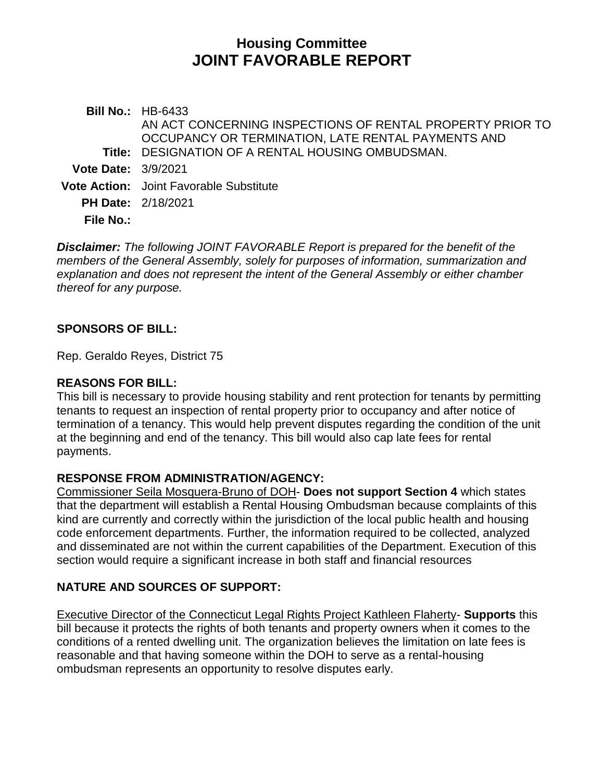# **Housing Committee JOINT FAVORABLE REPORT**

**Bill No.:** HB-6433 **Title:** DESIGNATION OF A RENTAL HOUSING OMBUDSMAN. AN ACT CONCERNING INSPECTIONS OF RENTAL PROPERTY PRIOR TO OCCUPANCY OR TERMINATION, LATE RENTAL PAYMENTS AND **Vote Date:** 3/9/2021 **Vote Action:** Joint Favorable Substitute **PH Date:** 2/18/2021 **File No.:**

*Disclaimer: The following JOINT FAVORABLE Report is prepared for the benefit of the members of the General Assembly, solely for purposes of information, summarization and explanation and does not represent the intent of the General Assembly or either chamber thereof for any purpose.*

### **SPONSORS OF BILL:**

Rep. Geraldo Reyes, District 75

#### **REASONS FOR BILL:**

This bill is necessary to provide housing stability and rent protection for tenants by permitting tenants to request an inspection of rental property prior to occupancy and after notice of termination of a tenancy. This would help prevent disputes regarding the condition of the unit at the beginning and end of the tenancy. This bill would also cap late fees for rental payments.

#### **RESPONSE FROM ADMINISTRATION/AGENCY:**

Commissioner Seila Mosquera-Bruno of DOH- **Does not support Section 4** which states that the department will establish a Rental Housing Ombudsman because complaints of this kind are currently and correctly within the jurisdiction of the local public health and housing code enforcement departments. Further, the information required to be collected, analyzed and disseminated are not within the current capabilities of the Department. Execution of this section would require a significant increase in both staff and financial resources

## **NATURE AND SOURCES OF SUPPORT:**

Executive Director of the Connecticut Legal Rights Project Kathleen Flaherty- **Supports** this bill because it protects the rights of both tenants and property owners when it comes to the conditions of a rented dwelling unit. The organization believes the limitation on late fees is reasonable and that having someone within the DOH to serve as a rental-housing ombudsman represents an opportunity to resolve disputes early.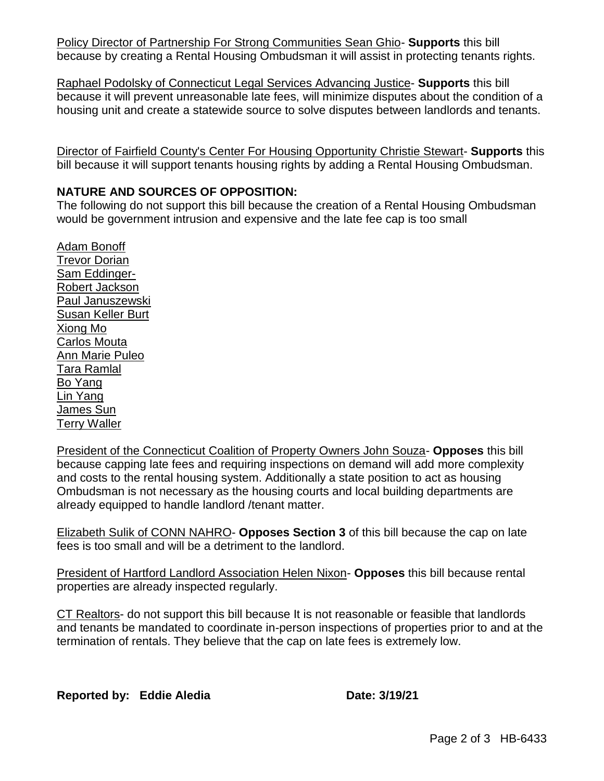Policy Director of Partnership For Strong Communities Sean Ghio- **Supports** this bill because by creating a Rental Housing Ombudsman it will assist in protecting tenants rights.

Raphael Podolsky of Connecticut Legal Services Advancing Justice- **Supports** this bill because it will prevent unreasonable late fees, will minimize disputes about the condition of a housing unit and create a statewide source to solve disputes between landlords and tenants.

Director of Fairfield County's Center For Housing Opportunity Christie Stewart- **Supports** this bill because it will support tenants housing rights by adding a Rental Housing Ombudsman.

## **NATURE AND SOURCES OF OPPOSITION:**

The following do not support this bill because the creation of a Rental Housing Ombudsman would be government intrusion and expensive and the late fee cap is too small

Adam Bonoff Trevor Dorian Sam Eddinger-Robert Jackson Paul Januszewski Susan Keller Burt Xiong Mo Carlos Mouta Ann Marie Puleo Tara Ramlal Bo Yang Lin Yang James Sun Terry Waller

President of the Connecticut Coalition of Property Owners John Souza- **Opposes** this bill because capping late fees and requiring inspections on demand will add more complexity and costs to the rental housing system. Additionally a state position to act as housing Ombudsman is not necessary as the housing courts and local building departments are already equipped to handle landlord /tenant matter.

Elizabeth Sulik of CONN NAHRO- **Opposes Section 3** of this bill because the cap on late fees is too small and will be a detriment to the landlord.

President of Hartford Landlord Association Helen Nixon- **Opposes** this bill because rental properties are already inspected regularly.

CT Realtors- do not support this bill because It is not reasonable or feasible that landlords and tenants be mandated to coordinate in-person inspections of properties prior to and at the termination of rentals. They believe that the cap on late fees is extremely low.

**Reported by: Eddie Aledia Date: 3/19/21**